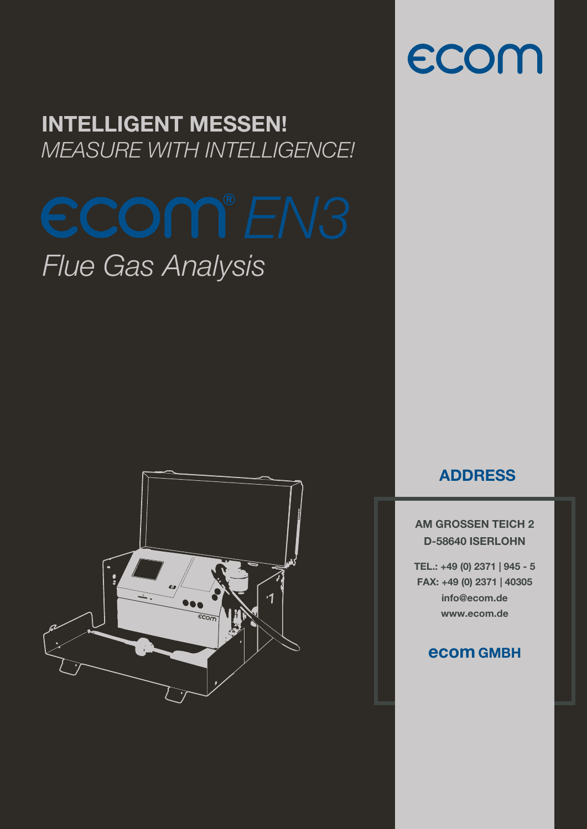#### INTELLIGENT MESSEN! *MEASURE WITH INTELLIGENCE!*

## *Flue Gas Analysis*



#### ADDRESS

ecom

AM GROSSEN TEICH 2 D-58640 ISERLOHN

TEL.: +49 (0) 2371 | 945 - 5 FAX: +49 (0) 2371 | 40305 info@ecom.de www.ecom.de

#### ecom GMBH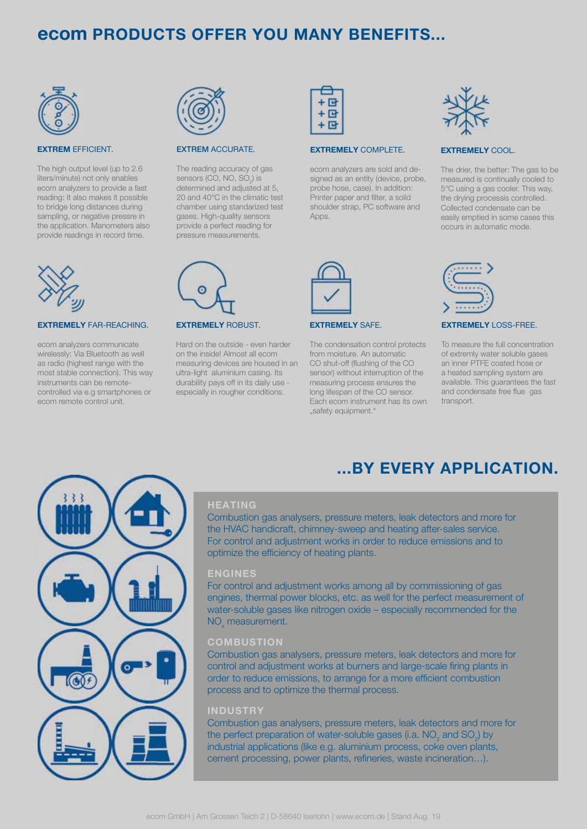#### ecom PRODUCTS OFFER YOU MANY BENEFITS...



#### EXTREM EFFICIENT.

The high output level (up to 2.6 liters/minute) not only enables ecom analyzers to provide a fast reading: It also makes it possible to bridge long distances during sampling, or negative pressre in the application. Manometers also provide readings in record time.



#### EXTREMELY FAR-REACHING.

ecom analyzers communicate wirelessly: Via Bluetooth as well as radio (highest range with the most stable connection). This way instruments can be remotecontrolled via e.g smartphones or ecom remote control unit.



#### EXTREM ACCURATE.

EXTREMELY ROBUST.

Hard on the outside - even harder on the inside! Almost all ecom measuring devices are housed in an ultra-light aluminium casing. Its durability pays off in its daily use especially in rougher conditions.

The reading accuracy of gas sensors (CO, NO, SO<sub>2</sub>) is determined and adjusted at 5, 20 and 40°C in the climatic test chamber using standarized test gases. High-quality sensors provide a perfect reading for pressure measurements.



#### EXTREMELY COMPLETE.

ecom analyzers are sold and designed as an entity (device, probe, probe hose, case). In addition: Printer paper and filter, a solid shoulder strap, PC software and Apps.



#### EXTREMELY SAFE.

The condensation control protects from moisture. An automatic CO shut-off (flushing of the CO sensor) without interruption of the measuring process ensures the long lifespan of the CO sensor. Each ecom instrument has its own "safety equipment."



#### EXTREMELY COOL.

The drier, the better: The gas to be measured is continually cooled to 5°C using a gas cooler. This way, the drying processis controlled. Collected condensate can be easily emptied in some cases this occurs in automatic mode.



...BY EVERY APPLICATION.

#### EXTREMELY LOSS-FREE.

To measure the full concentration of extremly water soluble gases an inner PTFE coated hose or a heated sampling system are available. This guarantees the fast and condensate free flue gas transport.

# $\circ$  $60<sub>2</sub>$

#### **HEATING**

Combustion gas analysers, pressure meters, leak detectors and more for the HVAC handicraft, chimney-sweep and heating after-sales service. For control and adjustment works in order to reduce emissions and to optimize the efficiency of heating plants.

#### ENGINES

For control and adjustment works among all by commissioning of gas engines, thermal power blocks, etc. as well for the perfect measurement of water-soluble gases like nitrogen oxide – especially recommended for the NO<sub>x</sub> measurement.

#### **COMBUSTION**

Combustion gas analysers, pressure meters, leak detectors and more for control and adjustment works at burners and large-scale firing plants in order to reduce emissions, to arrange for a more efficient combustion process and to optimize the thermal process.

#### INDUSTRY

Combustion gas analysers, pressure meters, leak detectors and more for the perfect preparation of water-soluble gases (i.a.  $\mathsf{NO}_2^{\phantom{\prime}}$  and  $\mathsf{SO}_2^{\phantom{\prime}}$  by industrial applications (like e.g. aluminium process, coke oven plants, cement processing, power plants, refineries, waste incineration...).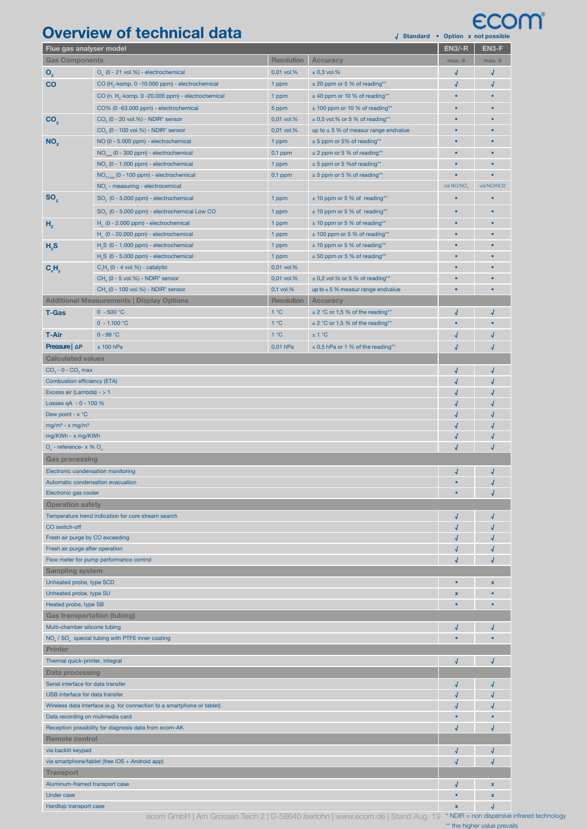### Overview of technical data **← Option X Not possible × Option** × Option x not possible *CCOM*

| y standard • Option x not possible                                       |                                                               |                   |                                          |                        | EN3-F       |
|--------------------------------------------------------------------------|---------------------------------------------------------------|-------------------|------------------------------------------|------------------------|-------------|
| Flue gas analyser model                                                  |                                                               |                   | $EN3/-R$                                 |                        |             |
| <b>Gas Components</b>                                                    |                                                               | <b>Resolution</b> | <b>Accuracy</b>                          | max. 6                 | max. 6      |
| $\mathbf{O}_{2}$                                                         | O <sub>2</sub> (0 - 21 vol.%) - electrochemical               | 0,01 vol.%        | $\pm$ 0,3 vol.%                          | √                      | √           |
| CO                                                                       | CO (H <sub>2</sub> -komp. 0 -10.000 ppm) - electrochemical    | 1 ppm             | ± 20 ppm or 5 % of reading**             | √                      | √           |
|                                                                          | CO (n. H <sub>2</sub> -komp. 0 -20.000 ppm) - electrochemical | 1 ppm             | ± 40 ppm or 10 % of reading**            | $\bullet$              | $\bullet$   |
|                                                                          | CO% (0 -63.000 ppm) - electrochemical                         | 5 ppm             | ± 100 ppm or 10 % of reading**           | $\bullet$              | $\bullet$   |
| CO <sub>2</sub>                                                          | $CO2$ (0 - 20 vol.%) - NDIR* sensor                           | 0,01 vol.%        | $\pm$ 0,5 vol.% or 5 % of reading**      | ٠                      | $\bullet$   |
|                                                                          | CO <sub>2</sub> (0 - 100 vol.%) - NDIR* sensor                | 0,01 vol.%        | up to $\pm$ 5 % of measur range endvalue | $\bullet$              | $\bullet$   |
| NO <sub>x</sub>                                                          | NO (0 - 5.000 ppm) - electrochemical                          | 1 ppm             | ± 5 ppm or 5% of reading**               | ٠                      | $\bullet$   |
|                                                                          | $NO1$ (0 - 300 ppm) - electrochemical                         | $0,1$ ppm         | $\pm$ 2 ppm or 5 % of reading**          | ò                      | $\bullet$   |
|                                                                          | NO <sub>2</sub> (0 - 1.000 ppm) - electrochemical             | 1 ppm             | ± 5 ppm or 5 % of reading**              | ٠                      | $\bullet$   |
|                                                                          | $NO_{21\text{cm}}$ (0 - 100 ppm) - electrochemical            | $0,1$ ppm         | $± 5$ ppm or 5 % of reading**            | ō                      |             |
|                                                                          | NO <sub>v</sub> - measuring - electrocemical                  |                   |                                          | via NO/NO <sub>2</sub> | via NO/NO2  |
| SO <sub>2</sub>                                                          | SO <sub>2</sub> (0 - 5.000 ppm) - electrochemical             | 1 ppm             | ± 10 ppm or 5 % of reading**             | ۰                      | ٠           |
|                                                                          | SO <sub>2</sub> (0 - 5.000 ppm) - electrochemical Low CO      | 1 ppm             | ± 10 ppm or 5 % of reading**             | $\bullet$              | $\bullet$   |
|                                                                          | H <sub>2</sub> (0 - 2.000 ppm) - electrochemical              | 1 ppm             | ± 10 ppm or 5 % of reading**             | $\bullet$              | $\bullet$   |
| H <sub>2</sub><br>H <sub>2</sub> S                                       | $H2$ (0 - 20.000 ppm) - electrochemical                       | 1 ppm             | $±$ 100 ppm or 5 % of reading**          | $\bullet$              | $\bullet$   |
|                                                                          | $H2S$ (0 - 1.000 ppm) - electrochemical                       | 1 ppm             | ± 10 ppm or 5 % of reading**             | $\bullet$              | $\bullet$   |
|                                                                          | H <sub>2</sub> S (0 - 5.000 ppm) - electrochemical            |                   | ± 50 ppm or 5 % of reading**             | ٠                      | $\bullet$   |
|                                                                          |                                                               | 1 ppm             |                                          | $\bullet$              | $\bullet$   |
| $C_{x}H_{y}$                                                             | $C,H$ (0 - 4 vol.%) - catalytic                               | 0,01 vol.%        |                                          | ō                      |             |
|                                                                          | $CH4$ (0 - 5 vol.%) - NDIR* sensor                            | 0,01 vol.%        | $\pm$ 0,2 vol.% or 5 % of reading**      |                        |             |
|                                                                          | CH <sub>4</sub> (0 - 100 vol.%) - NDIR* sensor                | 0,1 vol.%         | up to $\pm$ 5 % measur range endvalue    | $\bullet$              | $\bullet$   |
|                                                                          | <b>Additional Measurements   Display Options</b>              | <b>Resolution</b> | <b>Accuracy</b>                          |                        |             |
| <b>T-Gas</b>                                                             | $0 - 500 °C$                                                  | 1°C               | ± 2 °C or 1,5 % of the reading**         | J                      | √           |
|                                                                          | $0 - 1.100 °C$                                                | 1°C               | ± 2 °C or 1,5 % of the reading**         | ٠                      | $\bullet$   |
| <b>T-Air</b>                                                             | $0 - 99 °C$                                                   | 1°C               | ± 1 °C                                   | J                      | √           |
| Pressure   AP                                                            | ± 100 hPa                                                     | 0,01 hPa          | $\pm$ 0,5 hPa or 1 % of the reading**    | J                      | $\sqrt{2}$  |
| <b>Calculated values</b>                                                 |                                                               |                   |                                          |                        |             |
| $CO2 - 0 - CO2$ max                                                      |                                                               |                   |                                          | √                      | √           |
| <b>Combustion efficiency (ETA)</b>                                       |                                                               |                   |                                          | √                      |             |
| Excess air (Lambda) - > 1                                                |                                                               |                   |                                          | √                      | √           |
| Losses $qA - 0 - 100 %$                                                  |                                                               |                   |                                          | √                      |             |
| Dew point - $x^{\circ}C$                                                 |                                                               |                   |                                          | √                      |             |
| $mg/m3 - x mg/m3$                                                        |                                                               |                   |                                          |                        |             |
| mg/KWh - x mg/KWh                                                        |                                                               |                   |                                          |                        | $\sqrt{2}$  |
| $O2$ - reference- x % $O2$                                               |                                                               |                   |                                          | J                      | √           |
| <b>Gas processing</b>                                                    |                                                               |                   |                                          |                        |             |
| Electronic condensation monitoring<br>√<br>√                             |                                                               |                   |                                          |                        |             |
| Automatic condensation evacuation                                        |                                                               |                   |                                          |                        |             |
|                                                                          |                                                               |                   |                                          |                        |             |
| Electronic gas cooler                                                    |                                                               |                   |                                          |                        |             |
| <b>Operation safety</b>                                                  |                                                               |                   |                                          |                        |             |
| Temperature trend indication for core stream search                      |                                                               |                   |                                          | √                      |             |
| CO switch-off                                                            |                                                               |                   |                                          |                        |             |
| Fresh air purge by CO exceeding                                          |                                                               |                   |                                          |                        |             |
| Fresh air purge after operation                                          |                                                               |                   |                                          |                        |             |
| Flow meter for pump performance control                                  |                                                               |                   |                                          |                        |             |
| <b>Sampling system</b>                                                   |                                                               |                   |                                          |                        |             |
| Unheated probe, type SCD                                                 |                                                               |                   |                                          |                        | $\mathbf x$ |
| Unheated probe, type SU                                                  |                                                               |                   |                                          | X                      |             |
| Heated probe, type SB<br>٠                                               |                                                               |                   |                                          |                        |             |
| <b>Gas transportation (tubing)</b>                                       |                                                               |                   |                                          |                        |             |
| Multi-chamber silicone tubing                                            |                                                               |                   |                                          |                        |             |
| NO <sub>v</sub> / SO <sub>v</sub> special tubing with PTFE inner coating |                                                               |                   |                                          |                        |             |
| <b>Printer</b>                                                           |                                                               |                   |                                          |                        |             |
| Thermal quick-printer, integral                                          |                                                               |                   |                                          |                        | √           |
| <b>Data processing</b>                                                   |                                                               |                   |                                          |                        |             |
| Serial interface for data transfer                                       |                                                               |                   |                                          |                        |             |
| USB interface for data transfer                                          |                                                               |                   |                                          |                        |             |
| Wireless data interface (e.g. for connection to a smartphone or tablet)  |                                                               |                   |                                          |                        |             |
| Data recording on mulimedia card                                         |                                                               |                   |                                          |                        |             |
| Reception possibility for diagnosis data from ecom-AK                    |                                                               |                   |                                          |                        |             |
|                                                                          |                                                               |                   |                                          |                        |             |
| <b>Remote control</b>                                                    |                                                               |                   |                                          |                        |             |
| via backlit keypad                                                       |                                                               |                   |                                          |                        |             |
| via smartphone/tablet (free iOS + Android app)                           |                                                               |                   |                                          |                        |             |
| <b>Transport</b>                                                         |                                                               |                   |                                          |                        |             |
| Aluminum-framed transport case                                           |                                                               |                   |                                          |                        | x           |
| Under case                                                               |                                                               |                   |                                          |                        | $\mathbf x$ |
| Hardtop transport case                                                   |                                                               |                   |                                          | X                      |             |

ecom GmbH | Am Grossen Teich 2 | D-58640 Iserlohn | www.ecom.de | Stand Aug. 19 \* NDIR = non dispersive infrared technology

\*\* the higher value prevails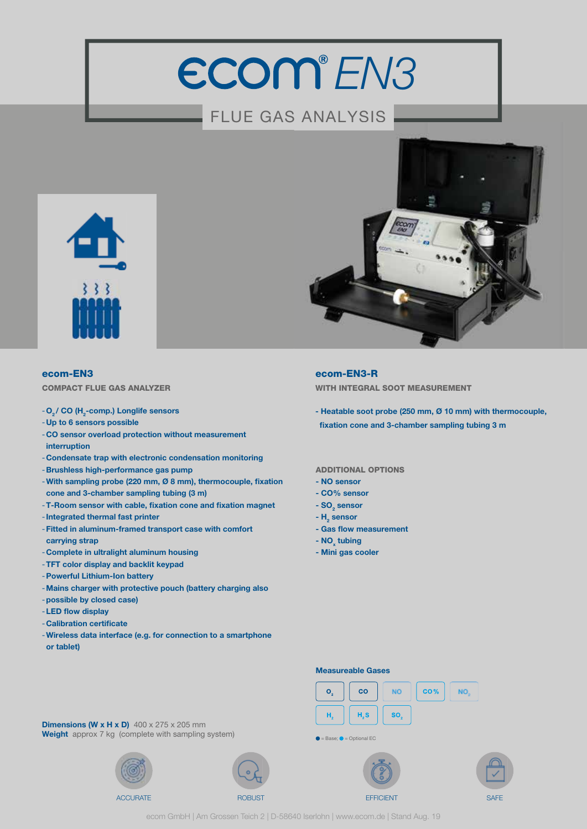## ECOM<sup>®</sup>EN3

#### FLUE GAS ANALYSIS



#### ecom-EN3

COMPACT FLUE GAS ANALYZER

#### - O<sub>2</sub>/ CO (H<sub>2</sub>-comp.) Longlife sensors

- -Up to 6 sensors possible
- -CO sensor overload protection without measurement interruption
- -Condensate trap with electronic condensation monitoring
- Brushless high-performance gas pump
- -With sampling probe (220 mm, Ø 8 mm), thermocouple, fixation cone and 3-chamber sampling tubing (3 m)
- T-Room sensor with cable, fixation cone and fixation magnet
- -Integrated thermal fast printer
- -Fitted in aluminum-framed transport case with comfort carrying strap
- -Complete in ultralight aluminum housing
- -TFT color display and backlit keypad
- -Powerful Lithium-Ion battery
- -Mains charger with protective pouch (battery charging also
- -possible by closed case)
- LED flow display
- Calibration certificate
- -Wireless data interface (e.g. for connection to a smartphone or tablet)

#### ecom-EN3-R

WITH INTEGRAL SOOT MEASUREMENT

- Heatable soot probe (250 mm, Ø 10 mm) with thermocouple, fixation cone and 3-chamber sampling tubing 3 m

#### ADDITIONAL OPTIONS

- NO sensor
- CO% sensor
- $SO_2$  sensor
- $H<sub>2</sub>$  sensor
- Gas flow measurement
- NO<sub>x</sub> tubing
- Mini gas cooler

#### Measureable Gases



 $\bullet$  = Base;  $\bullet$  = Optional EC





**Dimensions (W x H x D)**  $400 \times 275 \times 205$  mm Weight approx 7 kg (complete with sampling system)





ecom GmbH | Am Grossen Teich 2 | D-58640 Iserlohn | www.ecom.de | Stand Aug. 19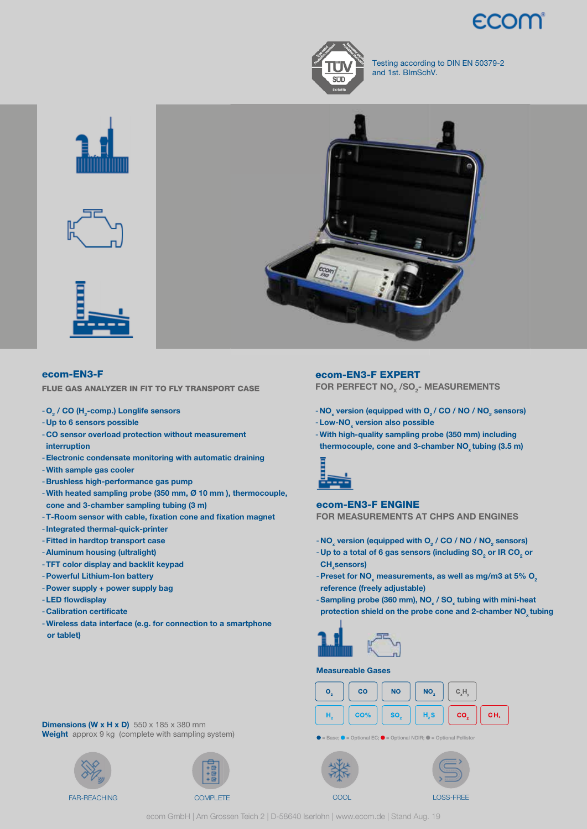



Testing according to DIN EN 50379-2 and 1st. BImSchV.



#### ecom-EN3-F

FLUE GAS ANALYZER IN FIT TO FLY TRANSPORT CASE

#### - O<sub>2</sub> / CO (H<sub>2</sub>-comp.) Longlife sensors

- -Up to 6 sensors possible
- -CO sensor overload protection without measurement interruption
- -Electronic condensate monitoring with automatic draining
- -With sample gas cooler
- Brushless high-performance gas pump
- -With heated sampling probe (350 mm, Ø 10 mm ), thermocouple, cone and 3-chamber sampling tubing (3 m)
- -T-Room sensor with cable, fixation cone and fixation magnet
- -Integrated thermal-quick-printer
- -Fitted in hardtop transport case
- -Aluminum housing (ultralight)
- -TFT color display and backlit keypad
- -Powerful Lithium-Ion battery
- -Power supply + power supply bag
- LED flowdisplay
- Calibration certificate
- -Wireless data interface (e.g. for connection to a smartphone or tablet)

#### ecom-EN3-F EXPERT

FOR PERFECT NO $_{\mathrm{x}}$  /SO $_{\mathrm{2}}$ - MEASUREMENTS

- NO $_{\mathrm{x}}$  version (equipped with O $_{\mathrm{2}}$  / CO / NO / NO $_{\mathrm{2}}$  sensors)
- Low-NO<sub>x</sub> version also possible
- -With high-quality sampling probe (350 mm) including thermocouple, cone and 3-chamber NO<sub>v</sub> tubing (3.5 m)



#### ecom-EN3-F ENGINE

FOR MEASUREMENTS AT CHPS AND ENGINES

- NO<sub>x</sub> version (equipped with O<sub>2</sub> / CO / NO / NO<sub>2</sub> sensors)
- Up to a total of 6 gas sensors (including SO $_{\rm 2}$  or IR CO $_{\rm 2}$  or CH<sub>4</sub>sensors)
- Preset for NO<sub>x</sub> measurements, as well as mg/m3 at 5% O<sub>2</sub> reference (freely adjustable)
- -Sampling probe (360 mm),  $NO_x / SO_x$  tubing with mini-heat protection shield on the probe cone and 2-chamber NO<sub>x</sub> tubing



#### Measureable Gases



 $IDIR:  $\blacksquare$$ 





**Dimensions (W x H x D)**  $550 \times 185 \times 380$  mm Weight approx 9 kg (complete with sampling system)





ecom GmbH | Am Grossen Teich 2 | D-58640 Iserlohn | www.ecom.de | Stand Aug. 19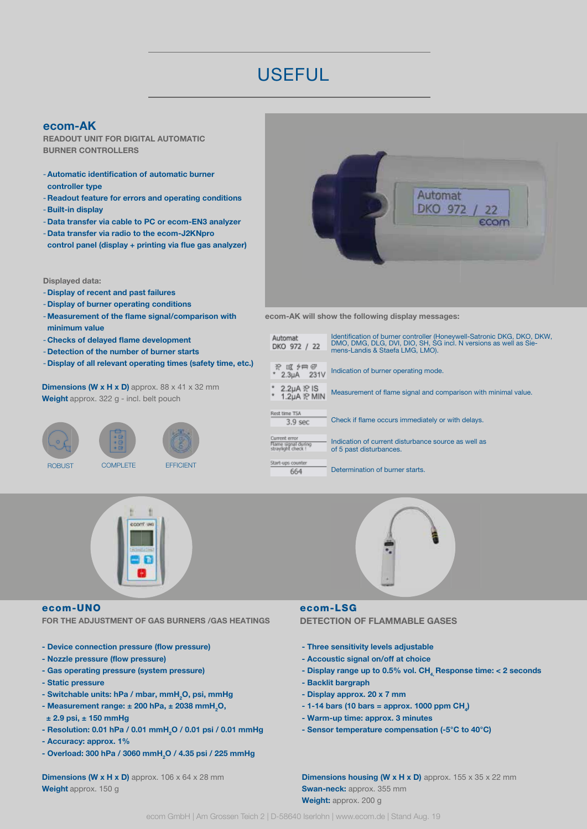#### **USEFUL**

#### ecom-AK

READOUT UNIT FOR DIGITAL AUTOMATIC BURNER CONTROLLERS

- Automatic identification of automatic burner controller type
- -Readout feature for errors and operating conditions
- Built-in display
- -Data transfer via cable to PC or ecom-EN3 analyzer
- -Data transfer via radio to the ecom-J2KNpro
- control panel (display + printing via flue gas analyzer)

#### Displayed data:

- -Display of recent and past failures
- -Display of burner operating conditions
- Measurement of the flame signal/comparison with minimum value
- Checks of delayed flame development
- -Detection of the number of burner starts
- -Display of all relevant operating times (safety time, etc.)

**Dimensions (W x H x D)** approx.  $88 \times 41 \times 32$  mm Weight approx. 322 g - incl. belt pouch





#### ecom-UNO

FOR THE ADJUSTMENT OF GAS BURNERS /GAS HEATINGS

- Device connection pressure (flow pressure)
- Nozzle pressure (flow pressure)
- Gas operating pressure (system pressure)
- Static pressure
- Switchable units: hPa / mbar, mmH<sub>2</sub>O, psi, mmHg
- Measurement range:  $\pm$  200 hPa,  $\pm$  2038 mmH<sub>2</sub>O,  $± 2.9$  psi,  $± 150$  mmHq
- Resolution: 0.01 hPa / 0.01 mmH<sub>2</sub>O / 0.01 psi / 0.01 mmHg
- Accuracy: approx. 1%
- Overload: 300 hPa / 3060 mmH<sub>2</sub>O / 4.35 psi / 225 mmHg

**Dimensions (W x H x D)** approx.  $106 \times 64 \times 28$  mm Weight approx. 150 g



ecom-AK will show the following display messages:

| Automat<br>DKO 972 / 22                                    | Identification of burner controller (Honeywell-Satronic DKG, DKO, DKW,<br>DMO, DMG, DLG, DVI, DIO, SH, SG incl. N versions as well as Sie-<br>mens-Landis & Staefa LMG, LMO). |
|------------------------------------------------------------|-------------------------------------------------------------------------------------------------------------------------------------------------------------------------------|
| 翌 照 夕照 @<br>231V<br>2.3 <sub>µA</sub>                      | Indication of burner operating mode.                                                                                                                                          |
| * 2.2µA ≳ IS<br>* 1.2µA ≳ MIN                              | Measurement of flame signal and comparison with minimal value.                                                                                                                |
| Rest time TSA<br>3.9 <sub>sec</sub>                        | Check if flame occurs immediately or with delays.                                                                                                                             |
| Current error<br>Flame signal during<br>straylight check ! | Indication of current disturbance source as well as<br>of 5 past disturbances.                                                                                                |
| Start-ups counter<br>664                                   | Determination of burner starts.                                                                                                                                               |



#### ecom-LSG

DETECTION OF FLAMMABLE GASES

- Three sensitivity levels adjustable
- Accoustic signal on/off at choice
- Display range up to 0.5% vol.  $CH<sub>4</sub>$  Response time: < 2 seconds
- Backlit bargraph
- Display approx. 20 x 7 mm
- $-$  1-14 bars (10 bars = approx. 1000 ppm CH<sub>4</sub>)
- Warm-up time: approx. 3 minutes
- Sensor temperature compensation (-5°C to 40°C)

**Dimensions housing (W x H x D)** approx.  $155 \times 35 \times 22$  mm Swan-neck: approx. 355 mm Weight: approx. 200 g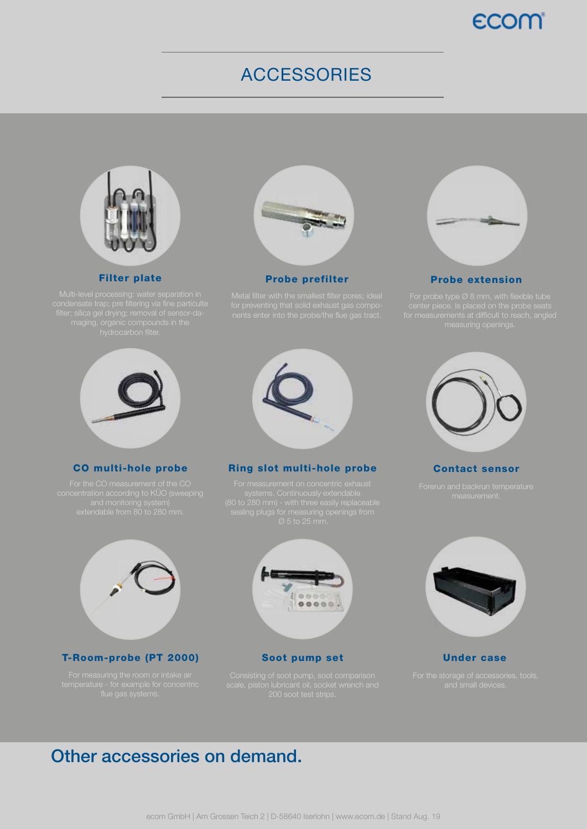#### ecom

#### ACCESSORIES



Filter plate



Probe prefilter



#### Probe extension



#### CO multi-hole probe



#### Ring slot multi-hole probe



#### Contact sensor



#### T-Room-probe (PT 2000)



Soot pump set



Under case

#### Other accessories on demand.